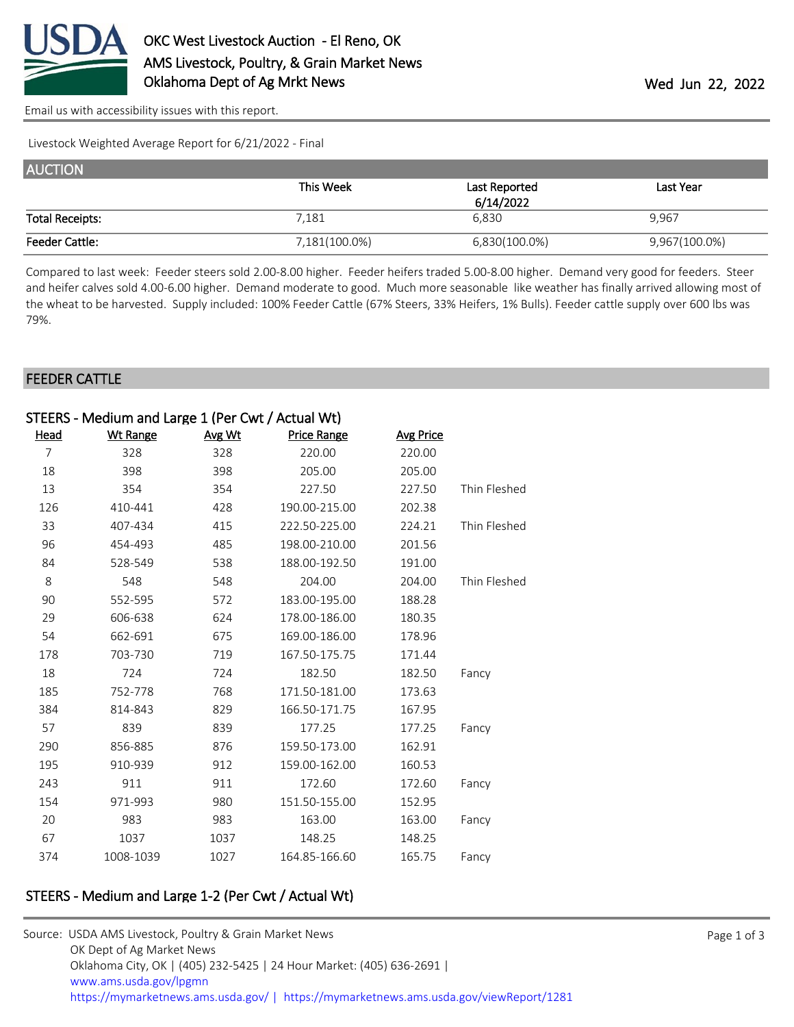

[Email us with accessibility issues with this report.](mailto:mars@ams.usda.gov?subject=508%20issue)

Livestock Weighted Average Report for 6/21/2022 - Final

| <b>AUCTION</b>         |               |               |               |
|------------------------|---------------|---------------|---------------|
|                        | This Week     | Last Reported | Last Year     |
|                        |               | 6/14/2022     |               |
| <b>Total Receipts:</b> | 7,181         | 6,830         | 9,967         |
| <b>Feeder Cattle:</b>  | 7,181(100.0%) | 6,830(100.0%) | 9,967(100.0%) |

Compared to last week: Feeder steers sold 2.00-8.00 higher. Feeder heifers traded 5.00-8.00 higher. Demand very good for feeders. Steer and heifer calves sold 4.00-6.00 higher. Demand moderate to good. Much more seasonable like weather has finally arrived allowing most of the wheat to be harvested. Supply included: 100% Feeder Cattle (67% Steers, 33% Heifers, 1% Bulls). Feeder cattle supply over 600 lbs was 79%.

#### FEEDER CATTLE

|                | STEERS - Medium and Large 1 (Per Cwt / Actual Wt) |        |                    |                  |              |
|----------------|---------------------------------------------------|--------|--------------------|------------------|--------------|
| Head           | <b>Wt Range</b>                                   | Avg Wt | <b>Price Range</b> | <b>Avg Price</b> |              |
| $\overline{7}$ | 328                                               | 328    | 220.00             | 220.00           |              |
| 18             | 398                                               | 398    | 205.00             | 205.00           |              |
| 13             | 354                                               | 354    | 227.50             | 227.50           | Thin Fleshed |
| 126            | 410-441                                           | 428    | 190.00-215.00      | 202.38           |              |
| 33             | 407-434                                           | 415    | 222.50-225.00      | 224.21           | Thin Fleshed |
| 96             | 454-493                                           | 485    | 198.00-210.00      | 201.56           |              |
| 84             | 528-549                                           | 538    | 188.00-192.50      | 191.00           |              |
| 8              | 548                                               | 548    | 204.00             | 204.00           | Thin Fleshed |
| 90             | 552-595                                           | 572    | 183.00-195.00      | 188.28           |              |
| 29             | 606-638                                           | 624    | 178.00-186.00      | 180.35           |              |
| 54             | 662-691                                           | 675    | 169.00-186.00      | 178.96           |              |
| 178            | 703-730                                           | 719    | 167.50-175.75      | 171.44           |              |
| 18             | 724                                               | 724    | 182.50             | 182.50           | Fancy        |
| 185            | 752-778                                           | 768    | 171.50-181.00      | 173.63           |              |
| 384            | 814-843                                           | 829    | 166.50-171.75      | 167.95           |              |
| 57             | 839                                               | 839    | 177.25             | 177.25           | Fancy        |
| 290            | 856-885                                           | 876    | 159.50-173.00      | 162.91           |              |
| 195            | 910-939                                           | 912    | 159.00-162.00      | 160.53           |              |
| 243            | 911                                               | 911    | 172.60             | 172.60           | Fancy        |
| 154            | 971-993                                           | 980    | 151.50-155.00      | 152.95           |              |
| 20             | 983                                               | 983    | 163.00             | 163.00           | Fancy        |
| 67             | 1037                                              | 1037   | 148.25             | 148.25           |              |
| 374            | 1008-1039                                         | 1027   | 164.85-166.60      | 165.75           | Fancy        |

# STEERS - Medium and Large 1-2 (Per Cwt / Actual Wt)

| Source: USDA AMS Livestock, Poultry & Grain Market News                                |
|----------------------------------------------------------------------------------------|
| OK Dept of Ag Market News                                                              |
| Oklahoma City, OK   (405) 232-5425   24 Hour Market: (405) 636-2691                    |
| www.ams.usda.gov/lpgmn                                                                 |
| https://mymarketnews.ams.usda.gov/   https://mymarketnews.ams.usda.gov/viewReport/1281 |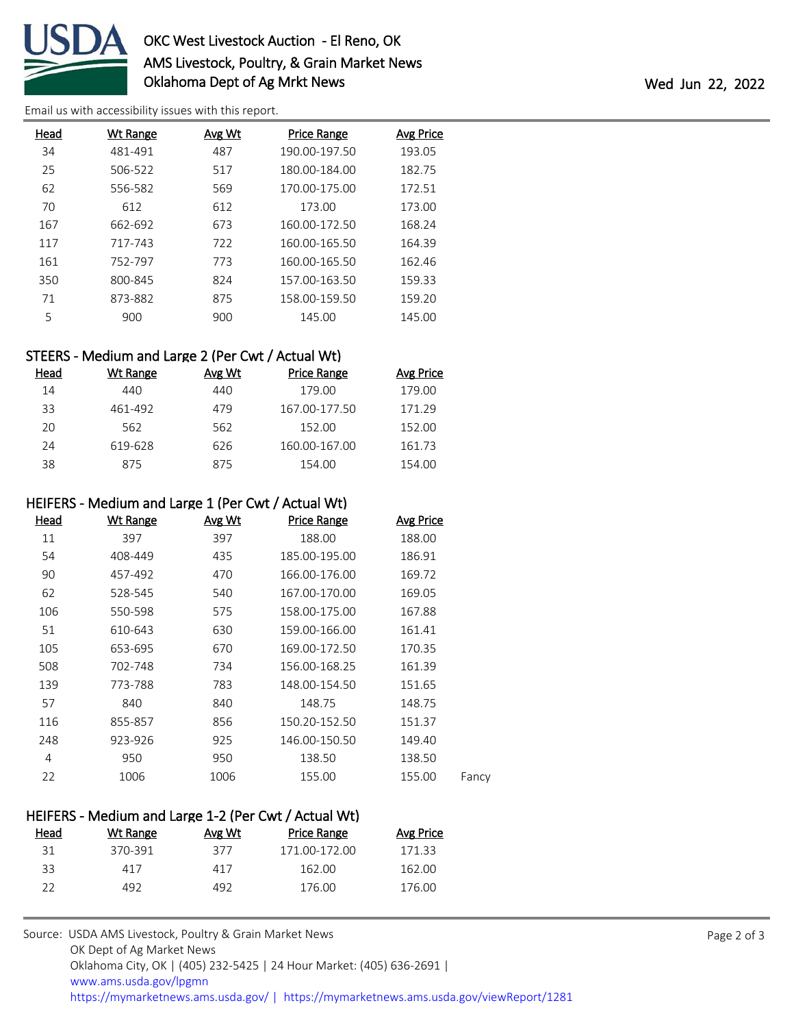

# OKC West Livestock Auction - El Reno, OK AMS Livestock, Poultry, & Grain Market News Oklahoma Dept of Ag Mrkt News Wed Jun 22, 2022

[Email us with accessibility issues with this report.](mailto:mars@ams.usda.gov?subject=508%20issue)

| Head | <u>Wt Range</u> | Avg Wt | <b>Price Range</b> | <b>Avg Price</b> |
|------|-----------------|--------|--------------------|------------------|
| 34   | 481-491         | 487    | 190.00-197.50      | 193.05           |
| 25   | 506-522         | 517    | 180.00-184.00      | 182.75           |
| 62   | 556-582         | 569    | 170.00-175.00      | 172.51           |
| 70   | 612             | 612    | 173.00             | 173.00           |
| 167  | 662-692         | 673    | 160.00-172.50      | 168.24           |
| 117  | 717-743         | 722    | 160.00-165.50      | 164.39           |
| 161  | 752-797         | 773    | 160.00-165.50      | 162.46           |
| 350  | 800-845         | 824    | 157.00-163.50      | 159.33           |
| 71   | 873-882         | 875    | 158.00-159.50      | 159.20           |
| 5    | 900             | 900    | 145.00             | 145.00           |

# STEERS - Medium and Large 2 (Per Cwt / Actual Wt)

| Head | Wt Range | Avg Wt | Price Range   | Avg Price |
|------|----------|--------|---------------|-----------|
| 14   | 440      | 440    | 179.00        | 179.00    |
| 33   | 461-492  | 479    | 167.00-177.50 | 171.29    |
| 20   | 562      | 562    | 152.00        | 152.00    |
| 24   | 619-628  | 626    | 160.00-167.00 | 161.73    |
| 38   | 875      | 875    | 154.00        | 154.00    |

#### HEIFERS - Medium and Large 1 (Per Cwt / Actual Wt)

| <b>Head</b> | <b>Wt Range</b> | Avg Wt | <b>Price Range</b> | <b>Avg Price</b> |       |
|-------------|-----------------|--------|--------------------|------------------|-------|
| 11          | 397             | 397    | 188.00             | 188.00           |       |
| 54          | 408-449         | 435    | 185.00-195.00      | 186.91           |       |
| 90          | 457-492         | 470    | 166.00-176.00      | 169.72           |       |
| 62          | 528-545         | 540    | 167.00-170.00      | 169.05           |       |
| 106         | 550-598         | 575    | 158.00-175.00      | 167.88           |       |
| 51          | 610-643         | 630    | 159.00-166.00      | 161.41           |       |
| 105         | 653-695         | 670    | 169.00-172.50      | 170.35           |       |
| 508         | 702-748         | 734    | 156.00-168.25      | 161.39           |       |
| 139         | 773-788         | 783    | 148.00-154.50      | 151.65           |       |
| 57          | 840             | 840    | 148.75             | 148.75           |       |
| 116         | 855-857         | 856    | 150.20-152.50      | 151.37           |       |
| 248         | 923-926         | 925    | 146.00-150.50      | 149.40           |       |
| 4           | 950             | 950    | 138.50             | 138.50           |       |
| 22          | 1006            | 1006   | 155.00             | 155.00           | Fancy |
|             |                 |        |                    |                  |       |

### HEIFERS - Medium and Large 1-2 (Per Cwt / Actual Wt) Head Wt Range Avg Wt Price Range Avg Price 370-391 377 171.00-172.00 171.33 417 417 162.00 162.00

492 492 176.00 176.00